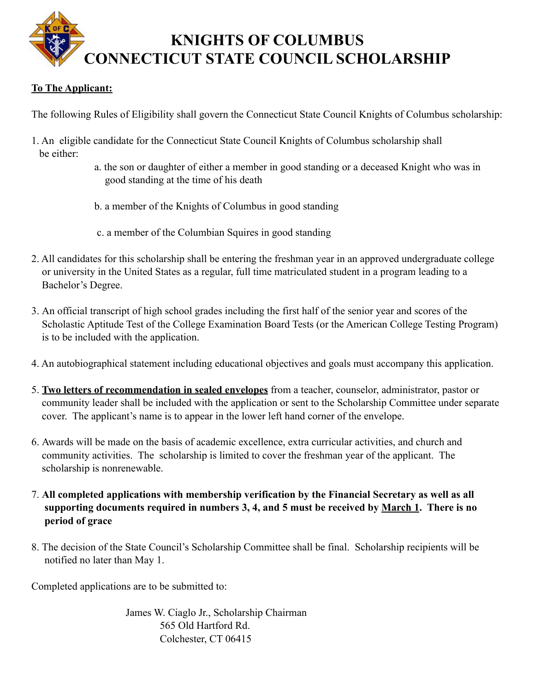

#### **To The Applicant:**

The following Rules of Eligibility shall govern the Connecticut State Council Knights of Columbus scholarship:

- 1. An eligible candidate for the Connecticut State Council Knights of Columbus scholarship shall be either:
	- a. the son or daughter of either a member in good standing or a deceased Knight who was in good standing at the time of his death
	- b. a member of the Knights of Columbus in good standing
	- c. a member of the Columbian Squires in good standing
- 2. All candidates for this scholarship shall be entering the freshman year in an approved undergraduate college or university in the United States as a regular, full time matriculated student in a program leading to a Bachelor's Degree.
- 3. An official transcript of high school grades including the first half of the senior year and scores of the Scholastic Aptitude Test of the College Examination Board Tests (or the American College Testing Program) is to be included with the application.
- 4. An autobiographical statement including educational objectives and goals must accompany this application.
- 5. **Two letters of recommendation in sealed envelopes** from a teacher, counselor, administrator, pastor or community leader shall be included with the application or sent to the Scholarship Committee under separate cover. The applicant's name is to appear in the lower left hand corner of the envelope.
- 6. Awards will be made on the basis of academic excellence, extra curricular activities, and church and community activities. The scholarship is limited to cover the freshman year of the applicant. The scholarship is nonrenewable.
- 7. **All completed applications with membership verification by the Financial Secretary as well as all supporting documents required in numbers 3, 4, and 5 must be received by March 1. There is no period of grace**
- 8. The decision of the State Council's Scholarship Committee shall be final. Scholarship recipients will be notified no later than May 1.

Completed applications are to be submitted to:

 James W. Ciaglo Jr., Scholarship Chairman 565 Old Hartford Rd. Colchester, CT 06415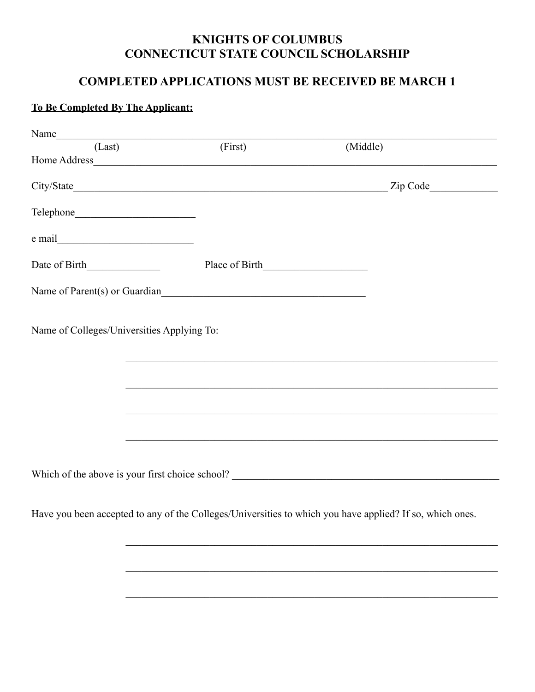## **KNIGHTS OF COLUMBUS CONNECTICUT STATE COUNCIL SCHOLARSHIP**

## **COMPLETED APPLICATIONS MUST BE RECEIVED BE MARCH 1**

#### To Be Completed By The Applicant:

| Name                                                           |                |                                                                                                          |
|----------------------------------------------------------------|----------------|----------------------------------------------------------------------------------------------------------|
| (Last)                                                         | (First)        | (Middle)                                                                                                 |
|                                                                |                |                                                                                                          |
|                                                                |                |                                                                                                          |
|                                                                |                |                                                                                                          |
|                                                                |                |                                                                                                          |
|                                                                | Place of Birth |                                                                                                          |
| Name of Parent(s) or Guardian<br><u>Leader and Constanting</u> |                |                                                                                                          |
| Name of Colleges/Universities Applying To:                     |                |                                                                                                          |
|                                                                |                |                                                                                                          |
|                                                                |                | ,我们也不能在这里的人,我们也不能在这里的人,我们也不能在这里的人,我们也不能在这里的人,我们也不能在这里的人,我们也不能在这里的人,我们也不能在这里的人,我们也                        |
|                                                                |                |                                                                                                          |
|                                                                |                | ,我们也不能在这里的人,我们也不能在这里的人,我们也不能在这里的人,我们也不能在这里的人,我们也不能在这里的人,我们也不能在这里的人,我们也不能在这里的人,我们也                        |
|                                                                |                | Which of the above is your first choice school?                                                          |
|                                                                |                | Have you been accepted to any of the Colleges/Universities to which you have applied? If so, which ones. |
|                                                                |                |                                                                                                          |
|                                                                |                |                                                                                                          |
|                                                                |                |                                                                                                          |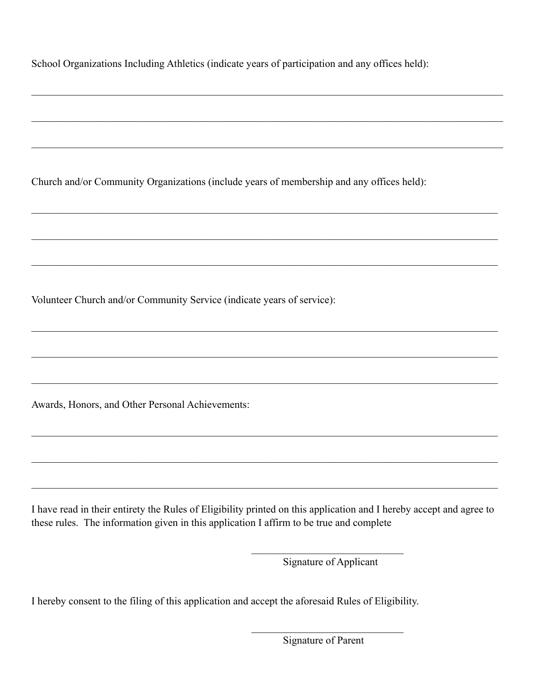$\mathcal{L}_\mathcal{L} = \mathcal{L}_\mathcal{L} = \mathcal{L}_\mathcal{L} = \mathcal{L}_\mathcal{L} = \mathcal{L}_\mathcal{L} = \mathcal{L}_\mathcal{L} = \mathcal{L}_\mathcal{L} = \mathcal{L}_\mathcal{L} = \mathcal{L}_\mathcal{L} = \mathcal{L}_\mathcal{L} = \mathcal{L}_\mathcal{L} = \mathcal{L}_\mathcal{L} = \mathcal{L}_\mathcal{L} = \mathcal{L}_\mathcal{L} = \mathcal{L}_\mathcal{L} = \mathcal{L}_\mathcal{L} = \mathcal{L}_\mathcal{L}$ 

 $\mathcal{L}_\mathcal{L} = \mathcal{L}_\mathcal{L} = \mathcal{L}_\mathcal{L} = \mathcal{L}_\mathcal{L} = \mathcal{L}_\mathcal{L} = \mathcal{L}_\mathcal{L} = \mathcal{L}_\mathcal{L} = \mathcal{L}_\mathcal{L} = \mathcal{L}_\mathcal{L} = \mathcal{L}_\mathcal{L} = \mathcal{L}_\mathcal{L} = \mathcal{L}_\mathcal{L} = \mathcal{L}_\mathcal{L} = \mathcal{L}_\mathcal{L} = \mathcal{L}_\mathcal{L} = \mathcal{L}_\mathcal{L} = \mathcal{L}_\mathcal{L}$ 

 $\mathcal{L}_\mathcal{L} = \mathcal{L}_\mathcal{L} = \mathcal{L}_\mathcal{L} = \mathcal{L}_\mathcal{L} = \mathcal{L}_\mathcal{L} = \mathcal{L}_\mathcal{L} = \mathcal{L}_\mathcal{L} = \mathcal{L}_\mathcal{L} = \mathcal{L}_\mathcal{L} = \mathcal{L}_\mathcal{L} = \mathcal{L}_\mathcal{L} = \mathcal{L}_\mathcal{L} = \mathcal{L}_\mathcal{L} = \mathcal{L}_\mathcal{L} = \mathcal{L}_\mathcal{L} = \mathcal{L}_\mathcal{L} = \mathcal{L}_\mathcal{L}$ 

 $\mathcal{L}_\mathcal{L} = \mathcal{L}_\mathcal{L} = \mathcal{L}_\mathcal{L} = \mathcal{L}_\mathcal{L} = \mathcal{L}_\mathcal{L} = \mathcal{L}_\mathcal{L} = \mathcal{L}_\mathcal{L} = \mathcal{L}_\mathcal{L} = \mathcal{L}_\mathcal{L} = \mathcal{L}_\mathcal{L} = \mathcal{L}_\mathcal{L} = \mathcal{L}_\mathcal{L} = \mathcal{L}_\mathcal{L} = \mathcal{L}_\mathcal{L} = \mathcal{L}_\mathcal{L} = \mathcal{L}_\mathcal{L} = \mathcal{L}_\mathcal{L}$ 

 $\mathcal{L}_\mathcal{L} = \mathcal{L}_\mathcal{L} = \mathcal{L}_\mathcal{L} = \mathcal{L}_\mathcal{L} = \mathcal{L}_\mathcal{L} = \mathcal{L}_\mathcal{L} = \mathcal{L}_\mathcal{L} = \mathcal{L}_\mathcal{L} = \mathcal{L}_\mathcal{L} = \mathcal{L}_\mathcal{L} = \mathcal{L}_\mathcal{L} = \mathcal{L}_\mathcal{L} = \mathcal{L}_\mathcal{L} = \mathcal{L}_\mathcal{L} = \mathcal{L}_\mathcal{L} = \mathcal{L}_\mathcal{L} = \mathcal{L}_\mathcal{L}$ 

 $\mathcal{L}_\mathcal{L} = \mathcal{L}_\mathcal{L} = \mathcal{L}_\mathcal{L} = \mathcal{L}_\mathcal{L} = \mathcal{L}_\mathcal{L} = \mathcal{L}_\mathcal{L} = \mathcal{L}_\mathcal{L} = \mathcal{L}_\mathcal{L} = \mathcal{L}_\mathcal{L} = \mathcal{L}_\mathcal{L} = \mathcal{L}_\mathcal{L} = \mathcal{L}_\mathcal{L} = \mathcal{L}_\mathcal{L} = \mathcal{L}_\mathcal{L} = \mathcal{L}_\mathcal{L} = \mathcal{L}_\mathcal{L} = \mathcal{L}_\mathcal{L}$ 

 $\mathcal{L}_\mathcal{L} = \mathcal{L}_\mathcal{L} = \mathcal{L}_\mathcal{L} = \mathcal{L}_\mathcal{L} = \mathcal{L}_\mathcal{L} = \mathcal{L}_\mathcal{L} = \mathcal{L}_\mathcal{L} = \mathcal{L}_\mathcal{L} = \mathcal{L}_\mathcal{L} = \mathcal{L}_\mathcal{L} = \mathcal{L}_\mathcal{L} = \mathcal{L}_\mathcal{L} = \mathcal{L}_\mathcal{L} = \mathcal{L}_\mathcal{L} = \mathcal{L}_\mathcal{L} = \mathcal{L}_\mathcal{L} = \mathcal{L}_\mathcal{L}$ 

 $\mathcal{L}_\mathcal{L} = \mathcal{L}_\mathcal{L} = \mathcal{L}_\mathcal{L} = \mathcal{L}_\mathcal{L} = \mathcal{L}_\mathcal{L} = \mathcal{L}_\mathcal{L} = \mathcal{L}_\mathcal{L} = \mathcal{L}_\mathcal{L} = \mathcal{L}_\mathcal{L} = \mathcal{L}_\mathcal{L} = \mathcal{L}_\mathcal{L} = \mathcal{L}_\mathcal{L} = \mathcal{L}_\mathcal{L} = \mathcal{L}_\mathcal{L} = \mathcal{L}_\mathcal{L} = \mathcal{L}_\mathcal{L} = \mathcal{L}_\mathcal{L}$ 

 $\mathcal{L}_\mathcal{L} = \mathcal{L}_\mathcal{L} = \mathcal{L}_\mathcal{L} = \mathcal{L}_\mathcal{L} = \mathcal{L}_\mathcal{L} = \mathcal{L}_\mathcal{L} = \mathcal{L}_\mathcal{L} = \mathcal{L}_\mathcal{L} = \mathcal{L}_\mathcal{L} = \mathcal{L}_\mathcal{L} = \mathcal{L}_\mathcal{L} = \mathcal{L}_\mathcal{L} = \mathcal{L}_\mathcal{L} = \mathcal{L}_\mathcal{L} = \mathcal{L}_\mathcal{L} = \mathcal{L}_\mathcal{L} = \mathcal{L}_\mathcal{L}$ 

 $\mathcal{L}_\mathcal{L} = \mathcal{L}_\mathcal{L} = \mathcal{L}_\mathcal{L} = \mathcal{L}_\mathcal{L} = \mathcal{L}_\mathcal{L} = \mathcal{L}_\mathcal{L} = \mathcal{L}_\mathcal{L} = \mathcal{L}_\mathcal{L} = \mathcal{L}_\mathcal{L} = \mathcal{L}_\mathcal{L} = \mathcal{L}_\mathcal{L} = \mathcal{L}_\mathcal{L} = \mathcal{L}_\mathcal{L} = \mathcal{L}_\mathcal{L} = \mathcal{L}_\mathcal{L} = \mathcal{L}_\mathcal{L} = \mathcal{L}_\mathcal{L}$ 

 $\mathcal{L}_\mathcal{L} = \mathcal{L}_\mathcal{L} = \mathcal{L}_\mathcal{L} = \mathcal{L}_\mathcal{L} = \mathcal{L}_\mathcal{L} = \mathcal{L}_\mathcal{L} = \mathcal{L}_\mathcal{L} = \mathcal{L}_\mathcal{L} = \mathcal{L}_\mathcal{L} = \mathcal{L}_\mathcal{L} = \mathcal{L}_\mathcal{L} = \mathcal{L}_\mathcal{L} = \mathcal{L}_\mathcal{L} = \mathcal{L}_\mathcal{L} = \mathcal{L}_\mathcal{L} = \mathcal{L}_\mathcal{L} = \mathcal{L}_\mathcal{L}$ 

 $\mathcal{L}_\mathcal{L} = \mathcal{L}_\mathcal{L} = \mathcal{L}_\mathcal{L} = \mathcal{L}_\mathcal{L} = \mathcal{L}_\mathcal{L} = \mathcal{L}_\mathcal{L} = \mathcal{L}_\mathcal{L} = \mathcal{L}_\mathcal{L} = \mathcal{L}_\mathcal{L} = \mathcal{L}_\mathcal{L} = \mathcal{L}_\mathcal{L} = \mathcal{L}_\mathcal{L} = \mathcal{L}_\mathcal{L} = \mathcal{L}_\mathcal{L} = \mathcal{L}_\mathcal{L} = \mathcal{L}_\mathcal{L} = \mathcal{L}_\mathcal{L}$ 

Church and/or Community Organizations (include years of membership and any offices held):

Volunteer Church and/or Community Service (indicate years of service):

Awards, Honors, and Other Personal Achievements:

I have read in their entirety the Rules of Eligibility printed on this application and I hereby accept and agree to these rules. The information given in this application I affirm to be true and complete

Signature of Applicant

I hereby consent to the filing of this application and accept the aforesaid Rules of Eligibility.

 $\mathcal{L}_\text{max}$  and  $\mathcal{L}_\text{max}$  and  $\mathcal{L}_\text{max}$  and  $\mathcal{L}_\text{max}$  and  $\mathcal{L}_\text{max}$  and  $\mathcal{L}_\text{max}$ 

 $\mathcal{L}_\text{max}$  and  $\mathcal{L}_\text{max}$  and  $\mathcal{L}_\text{max}$  and  $\mathcal{L}_\text{max}$  and  $\mathcal{L}_\text{max}$  and  $\mathcal{L}_\text{max}$ 

Signature of Parent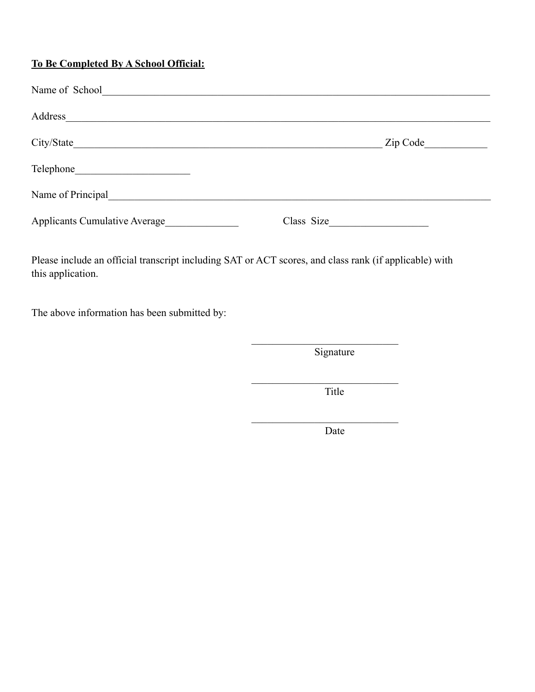### **To Be Completed By A School Official:**

| Name of School                                                                                                                  |            |
|---------------------------------------------------------------------------------------------------------------------------------|------------|
| Address<br><u> 1989 - Johann Stein, marwolaethau a bhann an t-Amhair an t-Amhair an t-Amhair an t-Amhair an t-Amhair an t-A</u> |            |
|                                                                                                                                 | Zip Code   |
|                                                                                                                                 |            |
| Name of Principal                                                                                                               |            |
| Applicants Cumulative Average                                                                                                   | Class Size |

Please include an official transcript including SAT or ACT scores, and class rank (if applicable) with this application.

 $\mathcal{L}_\text{max}$  and  $\mathcal{L}_\text{max}$  and  $\mathcal{L}_\text{max}$  and  $\mathcal{L}_\text{max}$  and  $\mathcal{L}_\text{max}$  and  $\mathcal{L}_\text{max}$ 

 $\mathcal{L}_\text{max}$  and  $\mathcal{L}_\text{max}$  and  $\mathcal{L}_\text{max}$  and  $\mathcal{L}_\text{max}$  and  $\mathcal{L}_\text{max}$  and  $\mathcal{L}_\text{max}$ 

 $\mathcal{L}_\text{max}$  and  $\mathcal{L}_\text{max}$  and  $\mathcal{L}_\text{max}$  and  $\mathcal{L}_\text{max}$  and  $\mathcal{L}_\text{max}$  and  $\mathcal{L}_\text{max}$ 

The above information has been submitted by:

Signature

**Title The Community of the Community Community Title** 

**Date Date**